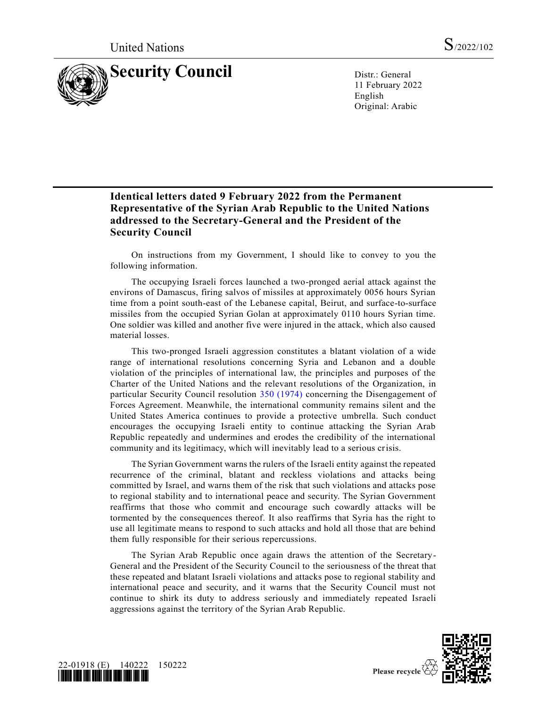

11 February 2022 English Original: Arabic

## **Identical letters dated 9 February 2022 from the Permanent Representative of the Syrian Arab Republic to the United Nations addressed to the Secretary-General and the President of the Security Council**

On instructions from my Government, I should like to convey to you the following information.

The occupying Israeli forces launched a two-pronged aerial attack against the environs of Damascus, firing salvos of missiles at approximately 0056 hours Syrian time from a point south-east of the Lebanese capital, Beirut, and surface-to-surface missiles from the occupied Syrian Golan at approximately 0110 hours Syrian time. One soldier was killed and another five were injured in the attack, which also caused material losses.

This two-pronged Israeli aggression constitutes a blatant violation of a wide range of international resolutions concerning Syria and Lebanon and a double violation of the principles of international law, the principles and purposes of the Charter of the United Nations and the relevant resolutions of the Organization, in particular Security Council resolution [350 \(1974\)](https://undocs.org/en/S/RES/350(1974)) concerning the Disengagement of Forces Agreement. Meanwhile, the international community remains silent and the United States America continues to provide a protective umbrella. Such conduct encourages the occupying Israeli entity to continue attacking the Syrian Arab Republic repeatedly and undermines and erodes the credibility of the international community and its legitimacy, which will inevitably lead to a serious crisis.

The Syrian Government warns the rulers of the Israeli entity against the repeated recurrence of the criminal, blatant and reckless violations and attacks being committed by Israel, and warns them of the risk that such violations and attacks pose to regional stability and to international peace and security. The Syrian Government reaffirms that those who commit and encourage such cowardly attacks will be tormented by the consequences thereof. It also reaffirms that Syria has the right to use all legitimate means to respond to such attacks and hold all those that are behind them fully responsible for their serious repercussions.

The Syrian Arab Republic once again draws the attention of the Secretary-General and the President of the Security Council to the seriousness of the threat that these repeated and blatant Israeli violations and attacks pose to regional stability and international peace and security, and it warns that the Security Council must not continue to shirk its duty to address seriously and immediately repeated Israeli aggressions against the territory of the Syrian Arab Republic.